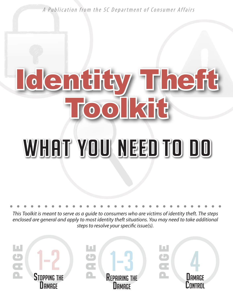A Publication from the SC Department of Consumer Affairs

# Identity Theft Toolkit WHAT YOU NEED TO DO

*This Toolkit is meant to serve as a guide to consumers who are victims of identity theft. The steps enclosed are general and apply to most identity theft situations. You may need to take additional steps to resolve your specific issue(s).* 

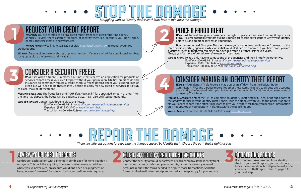**STOP THE DAMAGE** 

### REQUEST YOUR CREDIT REP

### Review Your Credit Reports

Go through each section with a fine tooth comb. Look for items you don't recognize. This could be anything from a misspelled name, an address where you've never lived, an account you didn't open or a judgment or lien you weren't aware of. Be sure to check your credit reports regularly.

### CLOSE AFFECTED/FRAUDULENT ACCOUNTS

*Wно DO I сонтаст?* Call (877) 322-8228 or visit *annualcreditreport.com* to request your free credit reports.

> Contact the security or fraud department of each company. If the identity thief has made charges or debits on your accounts, or has fraudulently opened accounts, request the forms needed to dispute those transactions. Send the forms certified mail, return receipt requested and keep a copy for your records.



**WARNING!** Beware of impostor websites or phone numbers. If you are asked for a credit card number, hang up or close the browser and try again.

*WHAT IS IT?* Federal law gives consumers the right to place a fraud alert on credit reports for **FREE.** It alerts potential creditors pulling your report to take extra steps to verify your identity before issuing credit or services in your name.



If you find mistakes resulting from identity theft on your credit reports, you can dispute or block the information, but depends on if you've created an ID theft report. Head to page 3 for your next step.

How Long will IT LAST? One year. The alert allows you another free credit report from each of the three credit reporting agencies. While an initial fraud alert can be renewed, if you have proof you are a victim of identity theft, you can place an extended fraud alert that lasts seven years. \**See page 4 for more information on the extended fraud alert.*

WHO DO I CONTACT? You only have to contact one of the agencies and they'll notify the other two.<br>Equifax • (800) 685-1111 or <u>equifax.com/personal/credit-report-services</u><br>Experian • (888) 397-3742 or <u>experian.com/help</u><br>Tr



*What is it?* You are entitled to a **FREE** credit report from each credit reporting agency annually. Review them carefully for signs of identity theft. (i.e. accounts you didn't open, names/addresses that are not yours, etc.)

*WHAT is it*? When a freeze is in place, a business that receives an application for products or services cannot access your credit report without your permission. Utilities, credit cards and insurance all commonly require a credit check. A freeze doesn't affect your existing lines of credit but will need to be thawed if you decide to apply for new credit or services. It is **FREE**  to place, thaw or lift the freeze.

*How LONG DOES IT LAST?* The freeze lasts until **YOU** lift it. You can lift for a specified amount of time. After the time has elapsed, the freeze will go back into place. It can also be lifted permanently.

*Who do I contact?* Contact ALL three to place the freeze.

 Equifax • (800) 685-1111 or *equifax.com/personal/credit-report-services* Experian • (888) 397-3742 or *experian.com/help* TransUnion • (800) 680-7289 or *transunion.com/credit-help*

*What is it?* An Identity Theft Report is made up of an affidavit from the Federal Trade Commission (FTC) and a police report. Together these items help you to dispute any accounts the identity thief opened using your information. *See pages 3-4 for information on the value of an Identity Theft Report.*

*How do I make one?* Contact the FTC to complete an Identity Theft Affidavit. Then, print out a copy of the affidavit for use in your Identity Theft Report. Take the affidavit with you to the police station to file your police report. If the officer is hesitant to give you a report, tell them you need an "information only" report. Attach your Identity Theft Affidavit to the police report.

*Who do I contact?* Call the FTC (877) 438-4338 or visit *IdentityTheft.gov*.

# **There are different options for repairing the damage caused by identity theft. Choose the path that is right for you.**



### CONSIDER A SECURITY FREEZE

## CONSIDER MAKING AN IDENTITY THEFT REPORT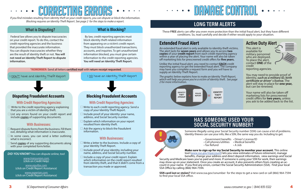# CORRECTING ERRORS

## DAMAGE CONTROL

### **With Businesses:**

- $\square$  Request dispute forms from the business. Fill them out, detailing what information is inaccurate.
- $\Box$  In some cases, you can send a letter outlining what is incorrect.
- Send **copies** of any supporting documents along with your completed form/letter.

*DID YOU KNOW?* You can dispute online, too!

### **With Businesses:**

- $\Box$  Write a letter to the business. Include a copy of your Identity Theft Report.
- $\Box$  Include proof of your identity, including your name, address, and Social Security number.
- $\Box$  Include a copy of your credit report. Explain which information on the credit report resulted from identity theft, and that it didn't come from a transaction you made or approved.





- $\Box$  Write to each credit reporting agency. Send a copy of your Identity Theft Report.
- $\Box$  Include proof of your identity: your name, address, and Social Security number.
- $\Box$  Explain which information on your report resulted from identity theft.
- $\Box$  Ask the agency to block the fraudulent information.
- $\Box$  Write to the credit reporting agency explaining that you are a victim of identity theft.
- $\Box$  List any errors found on your credit report and include **copies** of supporting documents.

### **With Credit Reporting Agencies:**

### **With Credit Reporting Agencies:**

### **Extended Fraud Alert**

An extended fraud alert is only available to identity theft victims. The alert lasts for **seven years** and allows you to access **two copies** of your **credit report** from each credit reporting agency within a year of placing the alert. Your name will also be taken off marketing lists for prescreened credit offers for **five years.** 

Unlike the initial fraud alert, you need to contact **EACH** credit reporting agency to get the extended fraud alert. The company may have you complete a request form and you *will* have to supply an Identity Theft Report.

*The graphic below explains how to make an Identity Theft Report, which will help you prove you're a victim of identity theft. See page 2 for more information.*



 Federal law allows you to dispute inaccuracies on your credit report. To do this, contact the credit reporting agencies and the business that provided the inaccurate information. You can dispute inaccuracies whether they are the result of identity theft or not. **You will not need an Identity Theft Report to dispute information.**

 By law, credit reporting agencies must block identity theft-related information from appearing on a victim's credit report. They must block unauthorized transactions, accounts, and inquiries. To get unauthorized information blocked, you must give certain information to the credit reporting agencies. **You will need an Identity Theft Report.** 

*If you find mistakes resulting from identity theft on your credit reports, you can dispute or block the information. Blocking requires an Identity Theft Report. See page 2 for the steps to make a report.* 

> These **FREE** alerts can offer you even more protection than the initial fraud alert, but they have different conditions. So, read carefully and decide if either would apply to your situation.

### Disputing Fraudulent Accounts

### **What is Disputing? What is Blocking?**

\*REMEMBER: Send all letters **certified mail** with **return receipt requested**.

I DON'T have and Identity Theft Report I DO have an Identity Theft Report

*www.transunion.com*  (click on Credit Help)

*www.equifax.com* (click on Credit Report Assistance)

*www.experian.com*  (click on Credit Report Assistance) Blocking Fraudulent Accounts

### **LONG TERM ALERTS**

### **HAS SOMEONE USED YOUR SOCIAL SECURITY NUMBER?**

This alert is available for military personnel who are deployed. To place the alert, contact **ONE** of the credit reporting agencies.



You may need to provide proof of identity, *such as a military ID, birth certificate or driver' s license.* The alert will stay in place for **one year,** but can be renewed.

Your name will also be taken off marketing lists for prescreened credit offers for **two years,** unless you ask to be added back to the list.

### **Active Duty Alert**

Someone illegally using your Social Security number (SSN) can cause a lot of problems. Identity thieves can use your info, like a SSN, the same way you do. Including to get:

- 
- 
- 

- Government benefits Driver's License/ID Cell phones/utilities Medical benefits Tax Refund A Job
	- -

**Make sure to sign up for my Social Security to monitor your account.** This online tool (*www.ssa.gov/myaccount*) lets you view estimates of future retirement, manage benefits, change your address and direct deposit information, view earnings and Social Security and Medicare taxes you've paid and more. If someone is using your SSN for work, their earnings may show up on your statement. Once you create an account, it also prevents others from creating an account in your name. If you find any errors, contact the Social Security Administration (SSA). Find your local SSA Office by calling (866) 964-7594.

**SSN card lost or stolen?** Visit www.ssa.gov/ssnumber for the steps to get a new card or call (866) 964-7594 to find your local SSA office.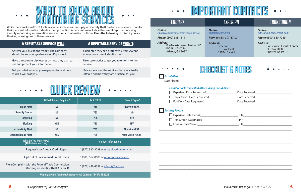

# IMPORTANT CONTACTS

### EQUIFAX EQUIFAX EXPERIAN EXPERIAN TRANSUNION

| <b>Online:</b><br>equifax.com/personal/credit-report-services                                | <b>Online:</b><br>experian.com/help                              | <b>Online:</b><br>transunion.com/credit-help                                         |  |  |
|----------------------------------------------------------------------------------------------|------------------------------------------------------------------|--------------------------------------------------------------------------------------|--|--|
| Phone: (800) 685-1111                                                                        | Phone: (888) 397-3742                                            | Phone: (800) 680-7289                                                                |  |  |
| <b>Address:</b><br>Equifax Information Services LLC<br>P.O. Box 740256,<br>Atlanta, GA 30374 | <b>Address:</b><br>Experian<br>P.O. Box 4500,<br>Allen, TX 75013 | <b>Address:</b><br><b>Consumer Dispute Ce</b><br>P.O. Box 2000,<br>Chester, PA 19016 |  |  |
| <b>Fraud Alert</b><br><b>Credit reports requested after placing Fraud Alert:</b>             | CHECKUST & NONES                                                 |                                                                                      |  |  |
|                                                                                              |                                                                  |                                                                                      |  |  |
|                                                                                              |                                                                  |                                                                                      |  |  |
|                                                                                              |                                                                  |                                                                                      |  |  |
| <b>Security Freeze</b>                                                                       |                                                                  |                                                                                      |  |  |
|                                                                                              |                                                                  |                                                                                      |  |  |
|                                                                                              |                                                                  |                                                                                      |  |  |
|                                                                                              |                                                                  |                                                                                      |  |  |
|                                                                                              |                                                                  |                                                                                      |  |  |
|                                                                                              |                                                                  |                                                                                      |  |  |
|                                                                                              |                                                                  |                                                                                      |  |  |





| Date Received |  |
|---------------|--|
| Date Received |  |
| Date Received |  |

| <b>A REPUTABLE SERVICE WILL:</b>                                                          | <b>A REPUTABLE SERVICE WON'T:</b>                                                            | <b>Address:</b><br><b>Equifax Information Ser</b> |
|-------------------------------------------------------------------------------------------|----------------------------------------------------------------------------------------------|---------------------------------------------------|
| Answer your questions readily. The company<br>should be knowledgeable about it's product. | Guarantee they can protect you from ever be-<br>coming a victim of identity theft.           | P.O. Box 740256,<br>Atlanta, GA 30374             |
| Have transparent disclosures on how they plan to<br>use and protect your information.     | Use scare tactics to get you to enroll into the<br>service.                                  |                                                   |
| Tell you what services you're paying for and how<br>much it will cost you.                | Be vague about the services that are actually<br>offered and how they are practical for you. | <b>Fraud Alert</b>                                |
|                                                                                           |                                                                                              | .                                                 |

|                                                                                             | <b>ID Theft Report Required?</b> | Is it FREE?                                       | <b>Does it Expire?</b>   |  |  |
|---------------------------------------------------------------------------------------------|----------------------------------|---------------------------------------------------|--------------------------|--|--|
| <b>Fraud Alert</b>                                                                          | N <sub>0</sub>                   | <b>YES</b>                                        | <b>After One YEAR</b>    |  |  |
| <b>Security Freeze</b>                                                                      | N <sub>0</sub>                   | <b>YES</b>                                        | N <sub>0</sub>           |  |  |
| <b>Disputing</b>                                                                            | N <sub>0</sub>                   | <b>YES</b>                                        | N/A                      |  |  |
| <b>Blocking</b>                                                                             | <b>YES</b>                       | <b>YES</b>                                        | N/A                      |  |  |
| <b>Active Duty Alert</b>                                                                    | N <sub>0</sub>                   | <b>YES</b>                                        | <b>After One YEAR</b>    |  |  |
| <b>Extended Fraud Alert</b>                                                                 | <b>YES</b>                       | <b>YES</b>                                        | <b>After Seven YEARS</b> |  |  |
| <b>What Do You Want to Do?</b><br>(All Options are Free)                                    |                                  | <b>Contact Information:</b>                       |                          |  |  |
| <b>Request Your Annual Credit Report</b>                                                    |                                  | 1 (877) 322-8228 or <i>annualcreditreport.com</i> |                          |  |  |
| <b>Opt-out of Prescreened Credit Offers</b>                                                 |                                  | 1 (888) 567-8688 or <i>optoutprescreen.com</i>    |                          |  |  |
| File a Complaint with the Federal Trade Commission<br>(Getting an Identity Theft Affidavit) |                                  | 1 (877) 438-4338 or <i>IdentityTheft.gov</i>      |                          |  |  |
| Having trouble finding what you need? Call us at (844) 835-5322.                            |                                  |                                                   |                          |  |  |



While there are lots of FREE tools available, some consumers pay an identity theft protection service to monitor their personal information. Identity theft protection services often include either credit report monitoring, identity monitoring, or resolution services…or a combination of those. **Keep the following in mind** if you are thinking of using one of these services:

 $\bullet$